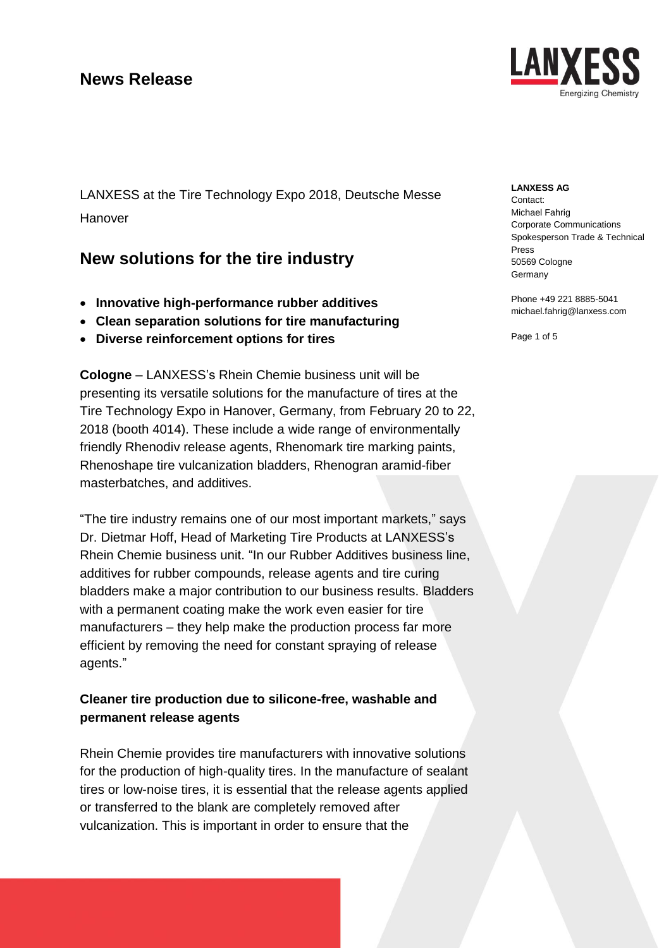LANXESS at the Tire Technology Expo 2018, Deutsche Messe Hanover

# **New solutions for the tire industry**

- **Innovative high-performance rubber additives**
- **Clean separation solutions for tire manufacturing**
- **Diverse reinforcement options for tires**

**Cologne** – LANXESS's Rhein Chemie business unit will be presenting its versatile solutions for the manufacture of tires at the Tire Technology Expo in Hanover, Germany, from February 20 to 22, 2018 (booth 4014). These include a wide range of environmentally friendly Rhenodiv release agents, Rhenomark tire marking paints, Rhenoshape tire vulcanization bladders, Rhenogran aramid-fiber masterbatches, and additives.

"The tire industry remains one of our most important markets," says Dr. Dietmar Hoff, Head of Marketing Tire Products at LANXESS's Rhein Chemie business unit. "In our Rubber Additives business line, additives for rubber compounds, release agents and tire curing bladders make a major contribution to our business results. Bladders with a permanent coating make the work even easier for tire manufacturers – they help make the production process far more efficient by removing the need for constant spraying of release agents."

## **Cleaner tire production due to silicone-free, washable and permanent release agents**

Rhein Chemie provides tire manufacturers with innovative solutions for the production of high-quality tires. In the manufacture of sealant tires or low-noise tires, it is essential that the release agents applied or transferred to the blank are completely removed after vulcanization. This is important in order to ensure that the



### **LANXESS AG**

Contact: Michael Fahrig Corporate Communications Spokesperson Trade & Technical Press 50569 Cologne Germany

Phone +49 221 8885-5041 michael.fahrig@lanxess.com

Page 1 of 5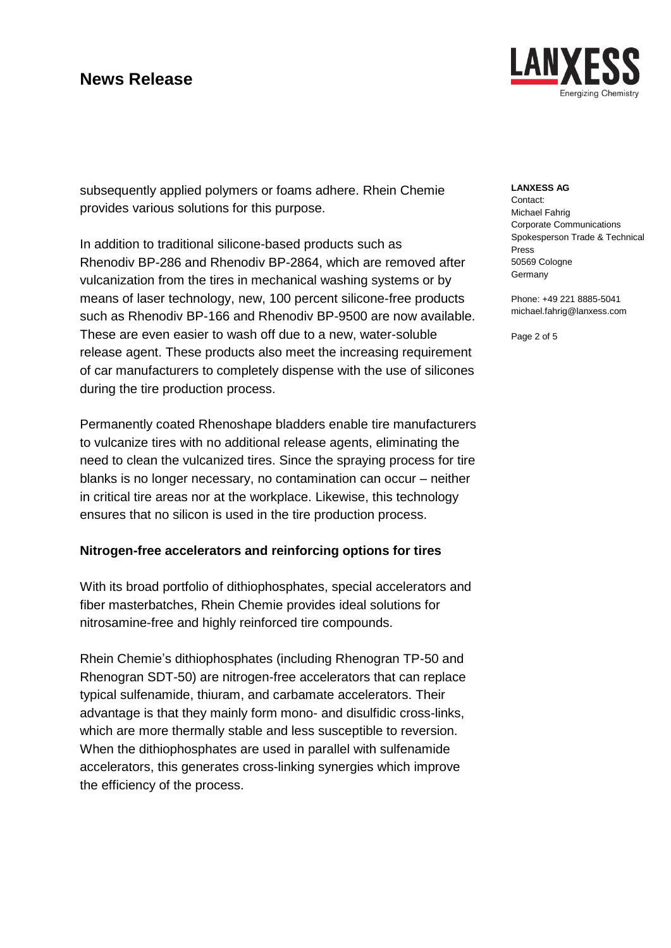

subsequently applied polymers or foams adhere. Rhein Chemie provides various solutions for this purpose.

In addition to traditional silicone-based products such as Rhenodiv BP-286 and Rhenodiv BP-2864, which are removed after vulcanization from the tires in mechanical washing systems or by means of laser technology, new, 100 percent silicone-free products such as Rhenodiv BP-166 and Rhenodiv BP-9500 are now available. These are even easier to wash off due to a new, water-soluble release agent. These products also meet the increasing requirement of car manufacturers to completely dispense with the use of silicones during the tire production process.

Permanently coated Rhenoshape bladders enable tire manufacturers to vulcanize tires with no additional release agents, eliminating the need to clean the vulcanized tires. Since the spraying process for tire blanks is no longer necessary, no contamination can occur – neither in critical tire areas nor at the workplace. Likewise, this technology ensures that no silicon is used in the tire production process.

## **Nitrogen-free accelerators and reinforcing options for tires**

With its broad portfolio of dithiophosphates, special accelerators and fiber masterbatches, Rhein Chemie provides ideal solutions for nitrosamine-free and highly reinforced tire compounds.

Rhein Chemie's dithiophosphates (including Rhenogran TP-50 and Rhenogran SDT-50) are nitrogen-free accelerators that can replace typical sulfenamide, thiuram, and carbamate accelerators. Their advantage is that they mainly form mono- and disulfidic cross-links, which are more thermally stable and less susceptible to reversion. When the dithiophosphates are used in parallel with sulfenamide accelerators, this generates cross-linking synergies which improve the efficiency of the process.

### **LANXESS AG**

Contact: Michael Fahrig Corporate Communications Spokesperson Trade & Technical Press 50569 Cologne **Germany** 

Phone: +49 221 8885-5041 michael.fahrig@lanxess.com

Page 2 of 5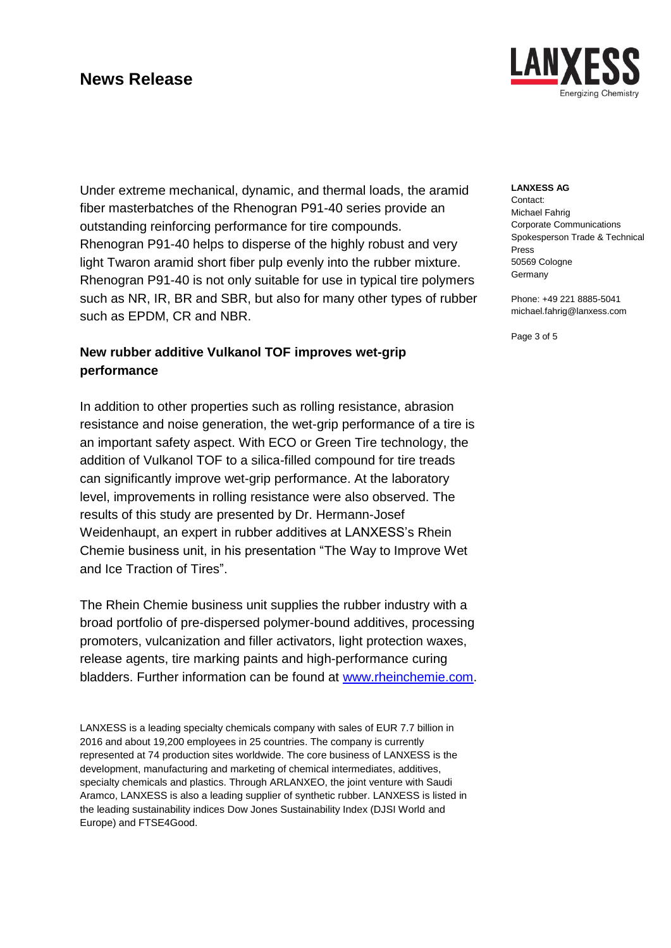LAN Ineraizina Chemistry

**LANXESS AG**

Contact: Michael Fahrig Corporate Communications Spokesperson Trade & Technical Press 50569 Cologne **Germany** 

Phone: +49 221 8885-5041 michael.fahrig@lanxess.com

Page 3 of 5

Under extreme mechanical, dynamic, and thermal loads, the aramid fiber masterbatches of the Rhenogran P91-40 series provide an outstanding reinforcing performance for tire compounds. Rhenogran P91-40 helps to disperse of the highly robust and very light Twaron aramid short fiber pulp evenly into the rubber mixture. Rhenogran P91-40 is not only suitable for use in typical tire polymers such as NR, IR, BR and SBR, but also for many other types of rubber such as EPDM, CR and NBR.

## **New rubber additive Vulkanol TOF improves wet-grip performance**

In addition to other properties such as rolling resistance, abrasion resistance and noise generation, the wet-grip performance of a tire is an important safety aspect. With ECO or Green Tire technology, the addition of Vulkanol TOF to a silica-filled compound for tire treads can significantly improve wet-grip performance. At the laboratory level, improvements in rolling resistance were also observed. The results of this study are presented by Dr. Hermann-Josef Weidenhaupt, an expert in rubber additives at LANXESS's Rhein Chemie business unit, in his presentation "The Way to Improve Wet and Ice Traction of Tires".

The Rhein Chemie business unit supplies the rubber industry with a broad portfolio of pre-dispersed polymer-bound additives, processing promoters, vulcanization and filler activators, light protection waxes, release agents, tire marking paints and high-performance curing bladders. Further information can be found at [www.rheinchemie.com.](http://www.rheinchemie.com/)

LANXESS is a leading specialty chemicals company with sales of EUR 7.7 billion in 2016 and about 19,200 employees in 25 countries. The company is currently represented at 74 production sites worldwide. The core business of LANXESS is the development, manufacturing and marketing of chemical intermediates, additives, specialty chemicals and plastics. Through ARLANXEO, the joint venture with Saudi Aramco, LANXESS is also a leading supplier of synthetic rubber. LANXESS is listed in the leading sustainability indices Dow Jones Sustainability Index (DJSI World and Europe) and FTSE4Good.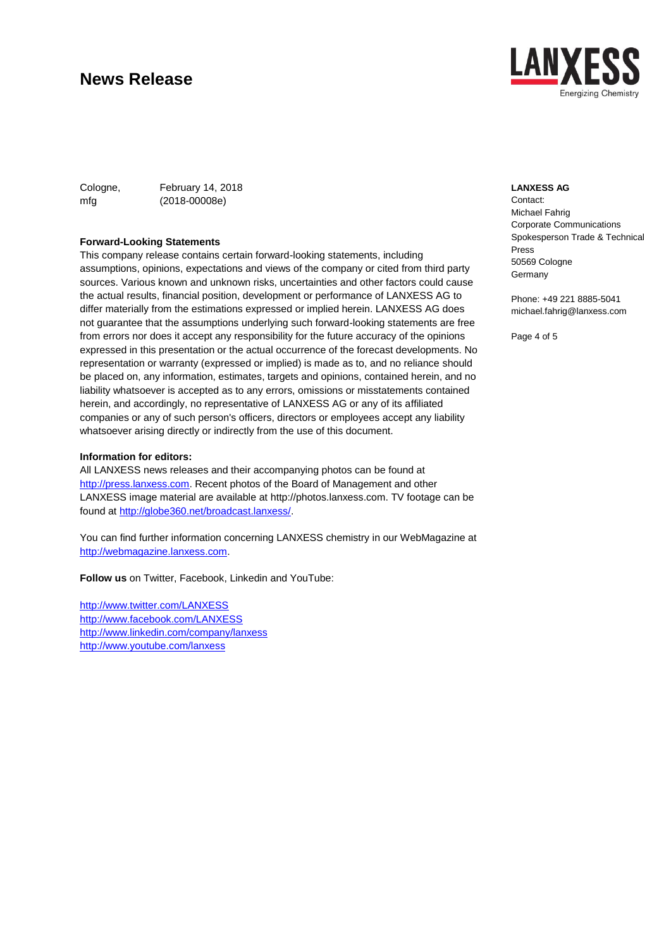

Cologne, February 14, 2018 mfg (2018-00008e)

#### **Forward-Looking Statements**

This company release contains certain forward-looking statements, including assumptions, opinions, expectations and views of the company or cited from third party sources. Various known and unknown risks, uncertainties and other factors could cause the actual results, financial position, development or performance of LANXESS AG to differ materially from the estimations expressed or implied herein. LANXESS AG does not guarantee that the assumptions underlying such forward-looking statements are free from errors nor does it accept any responsibility for the future accuracy of the opinions expressed in this presentation or the actual occurrence of the forecast developments. No representation or warranty (expressed or implied) is made as to, and no reliance should be placed on, any information, estimates, targets and opinions, contained herein, and no liability whatsoever is accepted as to any errors, omissions or misstatements contained herein, and accordingly, no representative of LANXESS AG or any of its affiliated companies or any of such person's officers, directors or employees accept any liability whatsoever arising directly or indirectly from the use of this document.

#### **Information for editors:**

All LANXESS news releases and their accompanying photos can be found at [http://press.lanxess.com.](http://press.lanxess.com/) Recent photos of the Board of Management and other LANXESS image material are available at [http://photos.lanxess.com.](http://photos.lanxess.com/) TV footage can be found at [http://globe360.net/broadcast.lanxess/.](http://globe360.net/broadcast.lanxess/)

You can find further information concerning LANXESS chemistry in our WebMagazine at [http://webmagazine.lanxess.com.](http://webmagazine.lanxess.com/)

**Follow us** on Twitter, Facebook, Linkedin and YouTube:

<http://www.twitter.com/LANXESS> <http://www.facebook.com/LANXESS> <http://www.linkedin.com/company/lanxess> <http://www.youtube.com/lanxess>

#### **LANXESS AG**

Contact: Michael Fahrig Corporate Communications Spokesperson Trade & Technical Press 50569 Cologne **Germany** 

Phone: +49 221 8885-5041 michael.fahrig@lanxess.com

Page 4 of 5